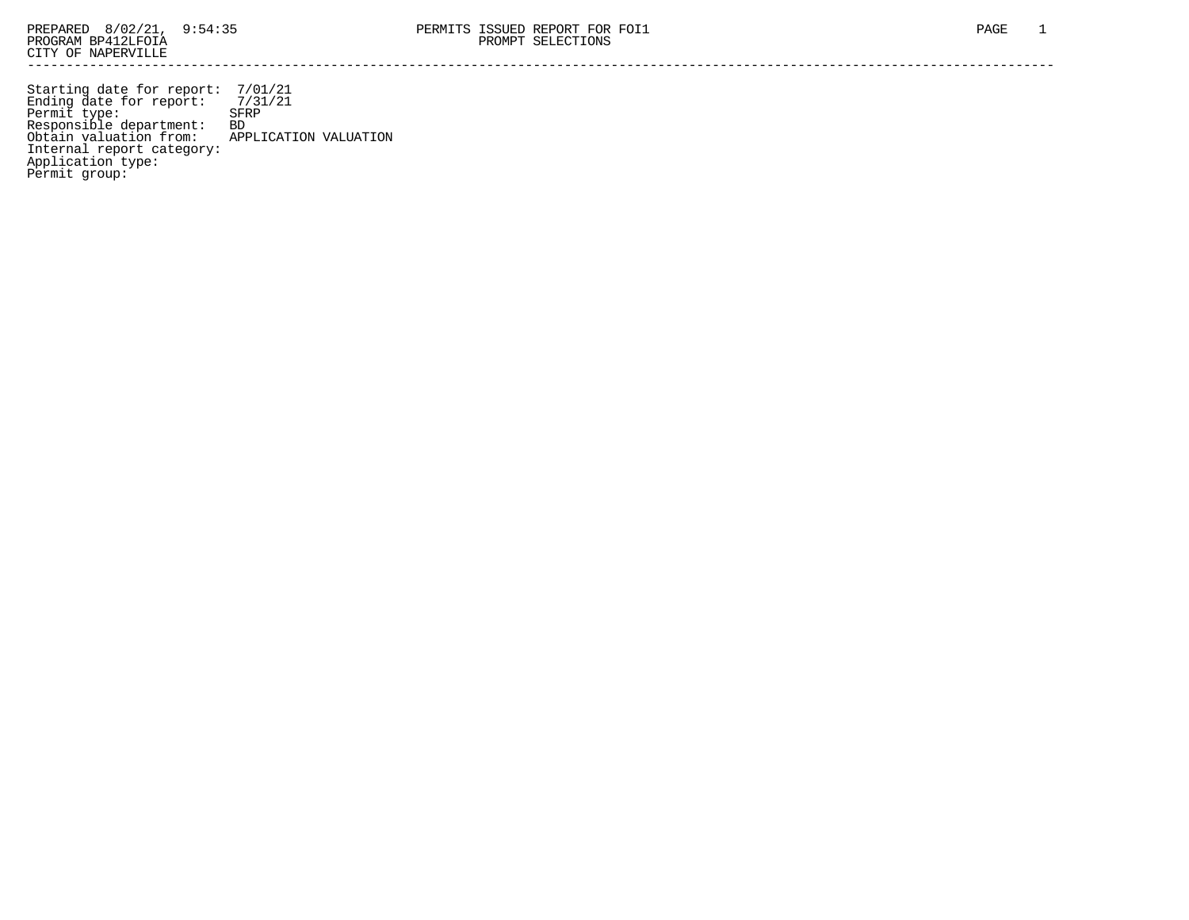Starting date for report: 7/01/21 Ending date for report: 7/31/21 Permit type: SFRP Responsible department: BD Obtain valuation from: APPLICATION VALUATION Internal report category: Application type: Permit group: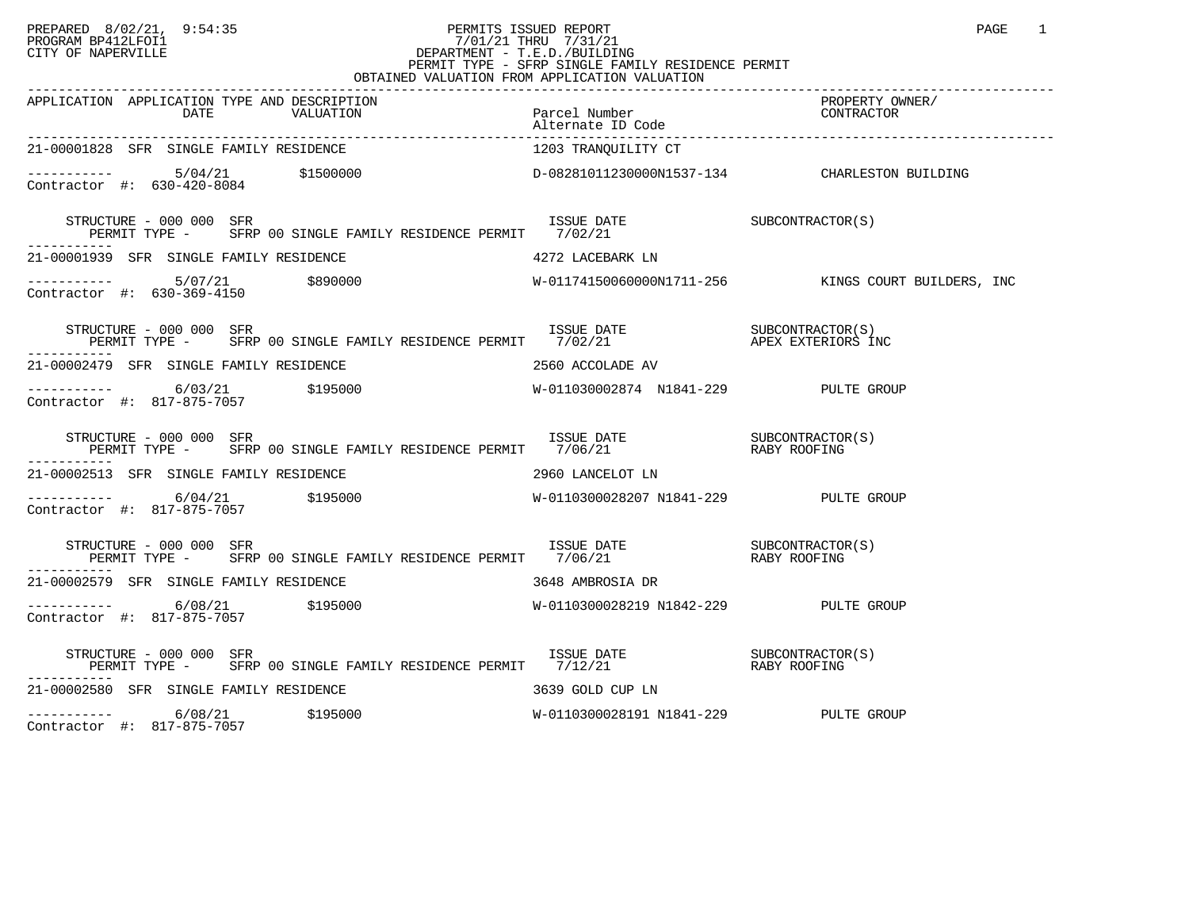## PREPARED 8/02/21, 9:54:35 PERMITS ISSUED REPORT<br>PROGRAM BP412LFOI1 PAGE 1 PROGRAM BP412LFOI1 7/01/21 THRU 7/31/21 CITY OF NAPERVILLE **Example 20** CITY OF NAPERVILLE CITY OF NAPERVILLE<br>
PERMIT TYPE - SFRP SINGLE FAMILY RESIDENCE PERMIT<br>
PERMIT TYPE - SFRP SINGLE FAMILY RESIDENCE PERMIT OBTAINED VALUATION FROM APPLICATION VALUATION

| APPLICATION APPLICATION TYPE AND DESCRIPTION<br>APPLICATION APPLICATION TYPE AND DESCRIPTION PERICATION PACCEL Number PROPERTY OWNER/<br>DATE VALUATION Parcel Number (20NTRACTOR Alternate ID Code ) alternate ID Code (20NTRACTOR ) and 2011 and 20NTRACTOR (20NTRACTOR ) and 2 |                                       |  |
|-----------------------------------------------------------------------------------------------------------------------------------------------------------------------------------------------------------------------------------------------------------------------------------|---------------------------------------|--|
| 21-00001828 SFR SINGLE FAMILY RESIDENCE                                                                                                                                                                                                                                           | 1203 TRANQUILITY CT                   |  |
| $\begin{tabular}{lclclcl} \multicolumn{4}{c}{\texttt{----------}} & & & & & 5/04/21 & & & \\\hline \multicolumn{4}{c}{\texttt{Cohtractor}} & \#: & & 630-420-8084 & & & \\\hline \multicolumn{4}{c}{\texttt{Cohtractor}} & \#: & & 630-420-8084 & & & \\\hline \end{tabular}$     |                                       |  |
| STRUCTURE - 000 000 SFR<br>-----------                                                                                                                                                                                                                                            |                                       |  |
| 21-00001939 SFR SINGLE FAMILY RESIDENCE $4272$ LACEBARK LN                                                                                                                                                                                                                        |                                       |  |
| ----------- 5/07/21 \$890000<br>Contractor #: 630-369-4150 \$890000<br>Contractor #: 630-369-4150                                                                                                                                                                                 |                                       |  |
| $\begin{array}{cccc} \texttt{STRUCTURE} & - & 000 & 000 & \texttt{SFR} \\ \texttt{PERMIT} & \texttt{TYPE} & - & \texttt{SFRP} & 00 & \texttt{SINGLE FAMILY RESIDENCE PERMIT} & 7/02/21 & \texttt{APEX EXTERIORS INC} \end{array}$                                                 |                                       |  |
| 21-00002479 SFR SINGLE FAMILY RESIDENCE NAMES AND RESOURDE AV                                                                                                                                                                                                                     |                                       |  |
|                                                                                                                                                                                                                                                                                   |                                       |  |
| STRUCTURE – 000 000 SFR<br>PERMIT TYPE – SFRP 00 SINGLE FAMILY RESIDENCE PERMIT 7/06/21 – RABY ROOFING<br>STRUCTURE - 000 000 SFR                                                                                                                                                 |                                       |  |
| 21-00002513 SFR SINGLE FAMILY RESIDENCE THE SERIES OF LANCELOT LN                                                                                                                                                                                                                 |                                       |  |
|                                                                                                                                                                                                                                                                                   |                                       |  |
| $\begin{array}{cccc} \texttt{STRUCTURE} & - & 000 & 000 & \texttt{SFR} \\ \texttt{PERMIT TYPE} & - & \texttt{SFRP} & 00 & \texttt{SINGLE FAMILY RESIDENCE PERMIT} & 7/06/21 & \texttt{RABY ROOFING} \end{array}$                                                                  |                                       |  |
|                                                                                                                                                                                                                                                                                   |                                       |  |
| Contractor #: 817-875-7057                                                                                                                                                                                                                                                        |                                       |  |
| STRUCTURE – 000 000 SFR<br>PERMIT TYPE – SFRP 00 SINGLE FAMILY RESIDENCE PERMIT 7/12/21 – RABY ROOFING<br>----------                                                                                                                                                              |                                       |  |
| 21-00002580 SFR SINGLE FAMILY RESIDENCE                                                                                                                                                                                                                                           | 3639 GOLD CUP LN                      |  |
| ----------- 6/08/21 \$195000<br>Contractor #: 817-875-7057                                                                                                                                                                                                                        | W-0110300028191 N1841-229 PULTE GROUP |  |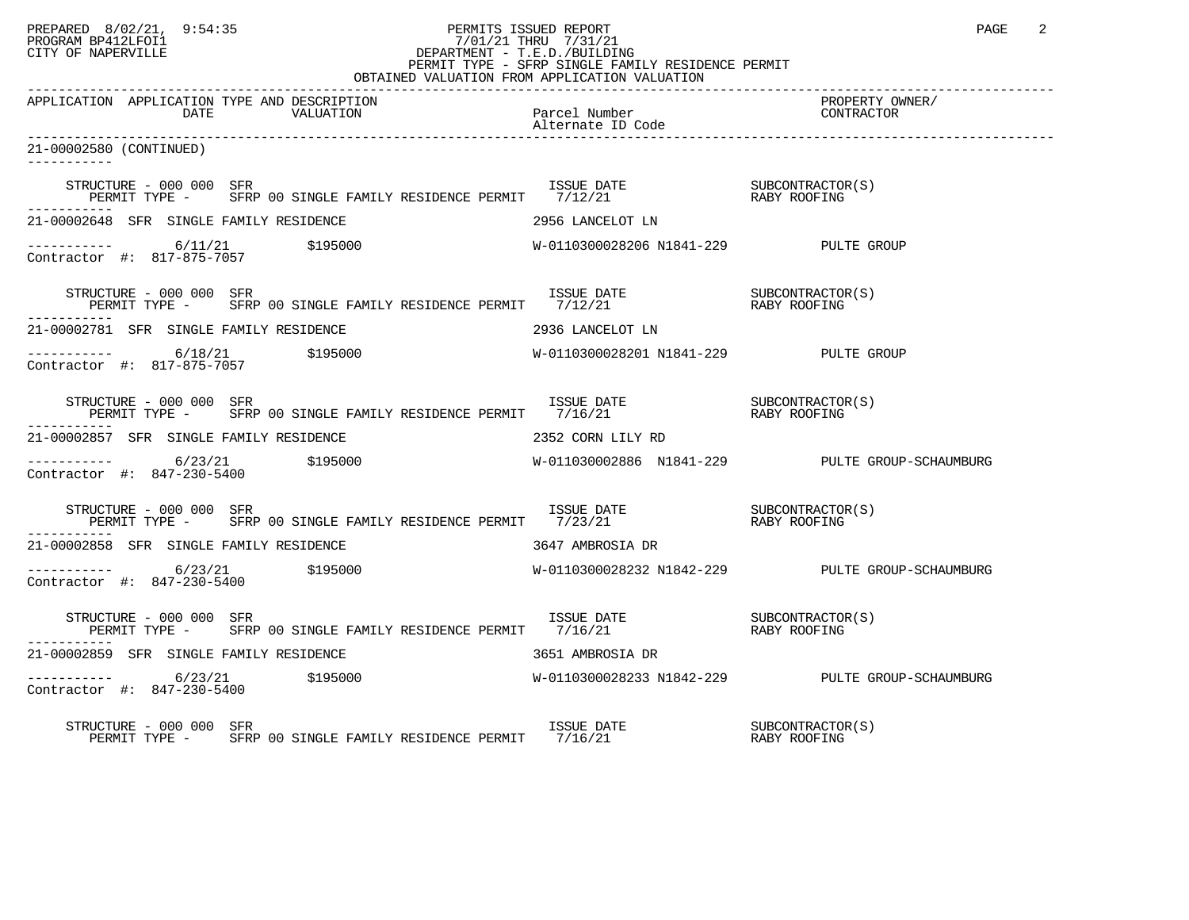## PREPARED 8/02/21, 9:54:35 PERMITS ISSUED REPORT PAGE 2<br>PROGRAM BP412LFOI1 PROGRAM PROGRAM BP412LFOI1 PROGRAM BP412LFOI1 7/01/21 THRU 7/31/21 CITY OF NAPERVILLE **Example 20** CITY OF NAPERVILLE PERMIT TYPE - SFRP SINGLE FAMILY RESIDENCE PERMIT

| OBTAINED VALUATION FROM APPLICATION VALUATION                                                                                                                                                                                                          |                                       |                                                  |  |  |  |
|--------------------------------------------------------------------------------------------------------------------------------------------------------------------------------------------------------------------------------------------------------|---------------------------------------|--------------------------------------------------|--|--|--|
| APPLICATION APPLICATION TYPE AND DESCRIPTION                                                                                                                                                                                                           |                                       | PROPERTY OWNER/<br>CONTRACTOR                    |  |  |  |
| 21-00002580 (CONTINUED)<br>-----------                                                                                                                                                                                                                 |                                       |                                                  |  |  |  |
| STRUCTURE – 000 000 SFR<br>PERMIT TYPE – SFRP 00 SINGLE FAMILY RESIDENCE PERMIT 7/12/21 (RABY ROOFING                                                                                                                                                  |                                       |                                                  |  |  |  |
| 21-00002648 SFR SINGLE FAMILY RESIDENCE                                                                                                                                                                                                                | 2956 LANCELOT LN                      |                                                  |  |  |  |
|                                                                                                                                                                                                                                                        |                                       |                                                  |  |  |  |
| STRUCTURE – 000 000 SFR<br>PERMIT TYPE – SFRP 00 SINGLE FAMILY RESIDENCE PERMIT 7/12/21 (RABY ROOFING                                                                                                                                                  |                                       |                                                  |  |  |  |
| 21-00002781 SFR SINGLE FAMILY RESIDENCE                                                                                                                                                                                                                | 2936 LANCELOT LN                      |                                                  |  |  |  |
| $\begin{tabular}{ll} \texttt{----------} & 6/18/21 & \texttt{\$195000} \\ \texttt{Contractor} & \texttt{#:} & 817-875-7057 \\ \end{tabular}$                                                                                                           | W-0110300028201 N1841-229 PULTE GROUP |                                                  |  |  |  |
| $\begin{array}{cccc} \texttt{STRUCTURE} & - & 000 & 000 & \texttt{SFR} \\ \texttt{PERMIT} & \texttt{TYPE} & - & \texttt{SFRP} & 00 & \texttt{SINGLE FAMILY RESIDENCE PERMIT} & 7/16/21 & \texttt{RABY ROOFING} \end{array}$<br>STRUCTURE - 000 000 SFR |                                       |                                                  |  |  |  |
| 21-00002857 SFR SINGLE FAMILY RESIDENCE                                                                                                                                                                                                                | 2352 CORN LILY RD                     |                                                  |  |  |  |
| $\begin{array}{cccc}\n - & - & - & - & - - \\  \text{Contractor} & + & 847 - 230 - 5400 &\n \end{array}$ \$195000                                                                                                                                      |                                       | W-011030002886 N1841-229 PULTE GROUP-SCHAUMBURG  |  |  |  |
| $\begin{array}{cccc} \texttt{STRUCTURE} & - & 000 & 000 & \texttt{SFR} \\ \texttt{PERMIT} & \texttt{TYPE} & - & \texttt{SFRP} & 00 & \texttt{SINGLE FAMILY RESIDENCE PERMIT} & 7/23/21 & \texttt{RABY ROOFING} \end{array}$<br>STRUCTURE - 000 000 SFR |                                       |                                                  |  |  |  |
| 21-00002858 SFR SINGLE FAMILY RESIDENCE                                                                                                                                                                                                                | 3647 AMBROSIA DR                      |                                                  |  |  |  |
| $\begin{array}{cccc}\n - & - & - & - & - - \\  \text{Contractor} & + & 847 - 230 - 5400 &\n \end{array}$ \$195000                                                                                                                                      |                                       | W-0110300028232 N1842-229 PULTE GROUP-SCHAUMBURG |  |  |  |
| $\begin{array}{cccc} \texttt{STRUCTURE} & - & 000 & 000 & \texttt{SFR} \\ \texttt{PERMIT TYPE} & - & \texttt{SFRP} & 00 & \texttt{SINGLE FAMILY RESIDENCE PERMIT} & 7/16/21 & \texttt{RASY ROOFING} \end{array}$                                       |                                       |                                                  |  |  |  |
| 21-00002859 SFR SINGLE FAMILY RESIDENCE                                                                                                                                                                                                                | 3651 AMBROSIA DR                      |                                                  |  |  |  |
|                                                                                                                                                                                                                                                        |                                       |                                                  |  |  |  |
| STRUCTURE - 000 000 SFR                                                                                                                                                                                                                                |                                       |                                                  |  |  |  |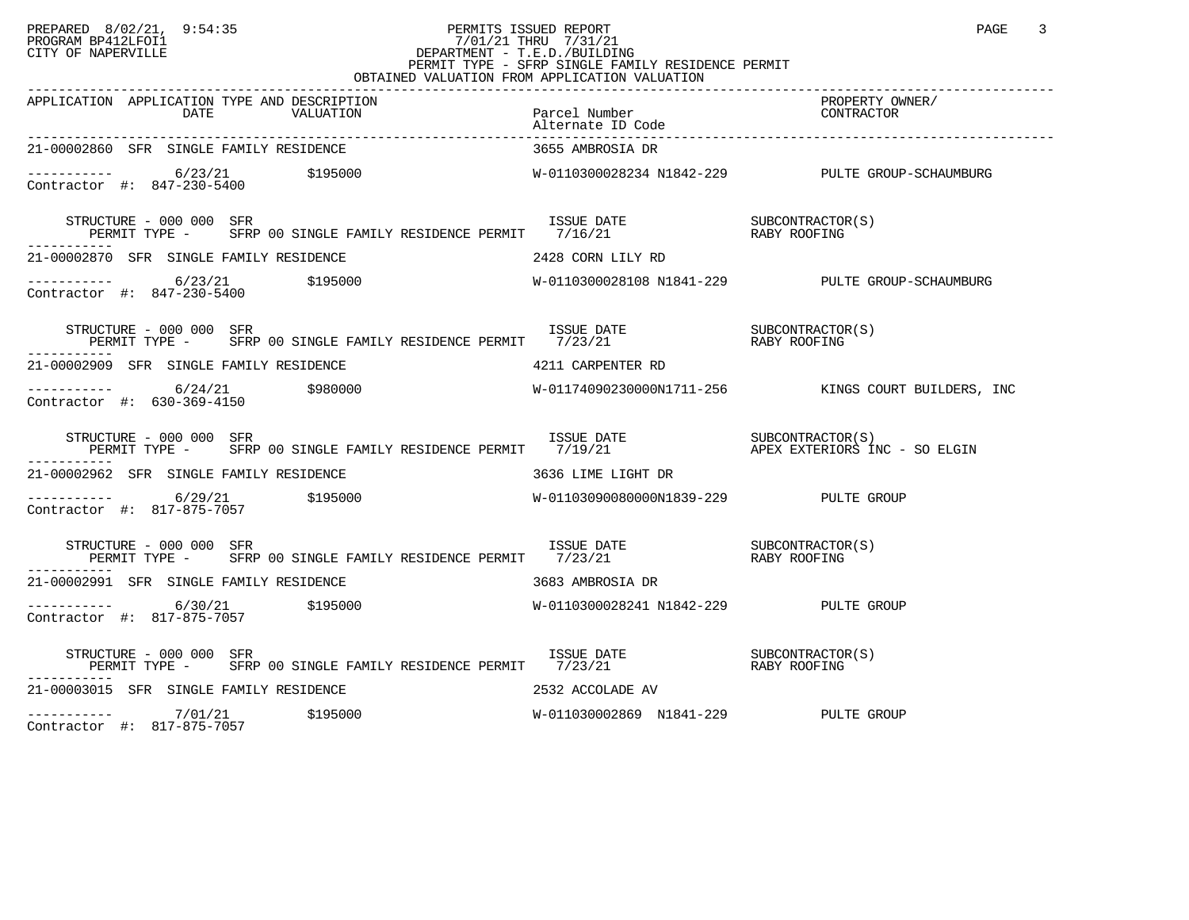## PREPARED 8/02/21, 9:54:35 PERMITS ISSUED REPORT<br>PROGRAM BP412LFOI1 PAGE 3 PROGRAM BP412LFOI1 7/01/21 THRU 7/31/21 CITY OF NAPERVILLE **Example 20** CITY OF NAPERVILLE CITY OF NAPERVILLE<br>
PERMIT TYPE - SFRP SINGLE FAMILY RESIDENCE PERMIT<br>
PERMIT TYPE - SFRP SINGLE FAMILY RESIDENCE PERMIT OBTAINED VALUATION FROM APPLICATION VALUATION

| APPLICATION APPLICATION TYPE AND DESCRIPTION                                                                                                                                                                |                                      | PROPERTY OWNER/<br>CONTRACTOR |
|-------------------------------------------------------------------------------------------------------------------------------------------------------------------------------------------------------------|--------------------------------------|-------------------------------|
| 21-00002860 SFR SINGLE FAMILY RESIDENCE                                                                                                                                                                     | 3655 AMBROSIA DR                     |                               |
|                                                                                                                                                                                                             |                                      |                               |
| STRUCTURE - 000 000 SFR<br>TRUCTURE - 000 000 SFR<br>PERMIT TYPE - SFRP 00 SINGLE FAMILY RESIDENCE PERMIT 7/16/21 21 RABY ROOFING<br>-----------                                                            |                                      |                               |
| 21-00002870 SFR SINGLE FAMILY RESIDENCE 2428 CORN LILY RD                                                                                                                                                   |                                      |                               |
|                                                                                                                                                                                                             |                                      |                               |
|                                                                                                                                                                                                             |                                      |                               |
| 21-00002909 SFR SINGLE FAMILY RESIDENCE THE SERIES RESIDENCE A 211 CARPENTER RD                                                                                                                             |                                      |                               |
|                                                                                                                                                                                                             |                                      |                               |
| STRUCTURE - 000 000 SFR<br>PERMIT TYPE - SFRP 00 SINGLE FAMILY RESIDENCE PERMIT 7/19/21 APEX EXTERIORS INC - SO ELGIN<br>STRUCTURE - 000 000 SFR                                                            |                                      |                               |
| 21-00002962 SFR SINGLE FAMILY RESIDENCE 60 16 16 16 16 16 16 16 16 16 17 DR                                                                                                                                 |                                      |                               |
|                                                                                                                                                                                                             |                                      |                               |
| $\begin{tabular}{lllllllll} \texttt{STRUCTURE} & 000 000 & SFR & 1SSUE DATE & 000 & SFR \\ \texttt{PERMIT TYPE} & & SFRP & 00 SIMGLE FAMILY RESIDENCE PERMIT & 7/23/21 & 0 & RABY ROOFING \\ \end{tabular}$ |                                      |                               |
| 21-00002991 SFR SINGLE FAMILY RESIDENCE THE SERIES OF STRING STRING OR                                                                                                                                      |                                      |                               |
| Contractor #: 817-875-7057                                                                                                                                                                                  |                                      |                               |
|                                                                                                                                                                                                             |                                      |                               |
| $21-00003015$ SFR SINGLE FAMILY RESIDENCE $\hfill$ 2532 ACCOLADE AV                                                                                                                                         |                                      |                               |
| ----------- 7/01/21 \$195000<br>Contractor #: 817-875-7057 \$195000                                                                                                                                         | W-011030002869 N1841-229 PULTE GROUP |                               |